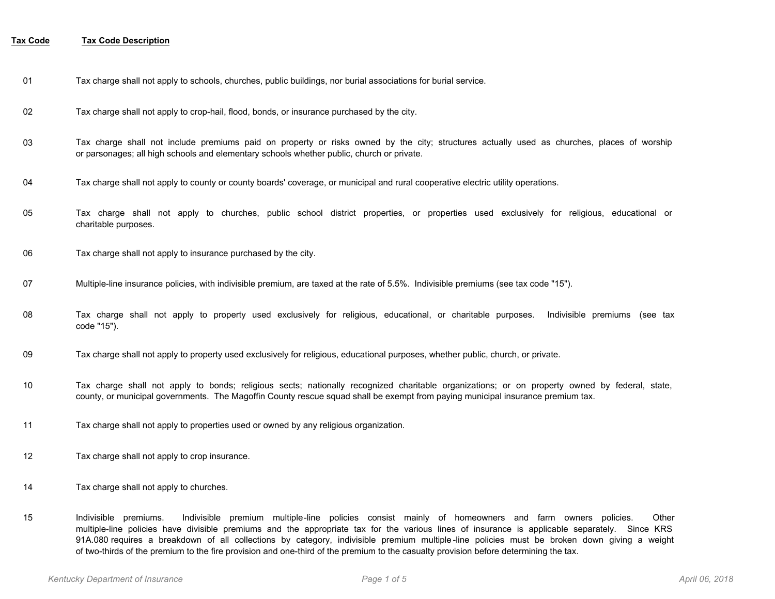- 01 Tax charge shall not apply to schools, churches, public buildings, nor burial associations for burial service.
- 02 Tax charge shall not apply to crop-hail, flood, bonds, or insurance purchased by the city.
- Tax charge shall not include premiums paid on property or risks owned by the city; structures actually used as churches, places of worship or parsonages; all high schools and elementary schools whether public, church or private. 03
- 04 Tax charge shall not apply to county or county boards' coverage, or municipal and rural cooperative electric utility operations.
- Tax charge shall not apply to churches, public school district properties, or properties used exclusively for religious, educational or charitable purposes. 05
- 06 Tax charge shall not apply to insurance purchased by the city.
- 07 Multiple-line insurance policies, with indivisible premium, are taxed at the rate of 5.5%. Indivisible premiums (see tax code "15").
- Tax charge shall not apply to property used exclusively for religious, educational, or charitable purposes. Indivisible premiums (see tax code "15"). 08
- 09 Tax charge shall not apply to property used exclusively for religious, educational purposes, whether public, church, or private.
- Tax charge shall not apply to bonds; religious sects; nationally recognized charitable organizations; or on property owned by federal, state, county, or municipal governments. The Magoffin County rescue squad shall be exempt from paying municipal insurance premium tax. 10
- 11 Tax charge shall not apply to properties used or owned by any religious organization.
- 12 Tax charge shall not apply to crop insurance.
- 14 Tax charge shall not apply to churches.
- Indivisible premiums. Indivisible premium multiple-line policies consist mainly of homeowners and farm owners policies. Other multiple-line policies have divisible premiums and the appropriate tax for the various lines of insurance is applicable separately. Since KRS 91A.080 requires a breakdown of all collections by category, indivisible premium multiple -line policies must be broken down giving a weight of two-thirds of the premium to the fire provision and one-third of the premium to the casualty provision before determining the tax. 15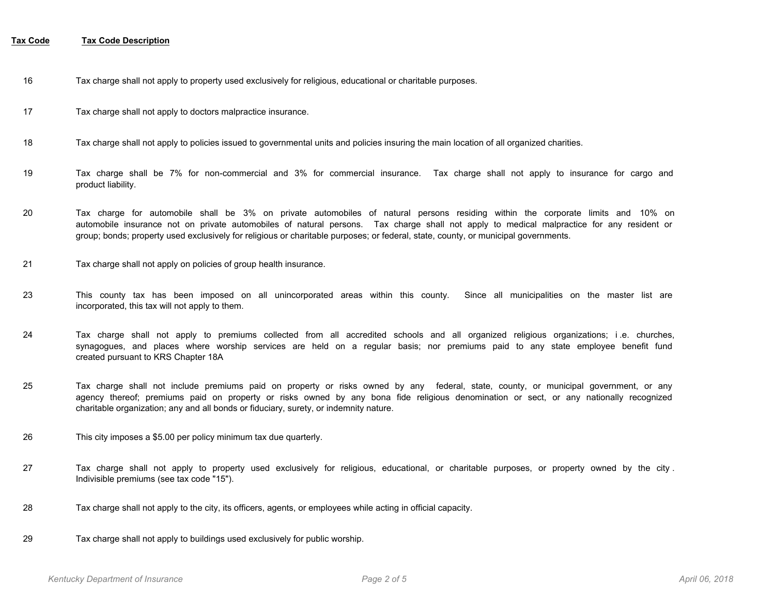- 16 Tax charge shall not apply to property used exclusively for religious, educational or charitable purposes.
- 17 Tax charge shall not apply to doctors malpractice insurance.
- 18 Tax charge shall not apply to policies issued to governmental units and policies insuring the main location of all organized charities.
- Tax charge shall be 7% for non-commercial and 3% for commercial insurance. Tax charge shall not apply to insurance for cargo and product liability. 19
- Tax charge for automobile shall be 3% on private automobiles of natural persons residing within the corporate limits and 10% on automobile insurance not on private automobiles of natural persons. Tax charge shall not apply to medical malpractice for any resident or group; bonds; property used exclusively for religious or charitable purposes; or federal, state, county, or municipal governments. 20
- 21 Tax charge shall not apply on policies of group health insurance.
- This county tax has been imposed on all unincorporated areas within this county. Since all municipalities on the master list are incorporated, this tax will not apply to them. 23
- Tax charge shall not apply to premiums collected from all accredited schools and all organized religious organizations; i .e. churches, synagogues, and places where worship services are held on a regular basis; nor premiums paid to any state employee benefit fund created pursuant to KRS Chapter 18A 24
- Tax charge shall not include premiums paid on property or risks owned by any federal, state, county, or municipal government, or any agency thereof; premiums paid on property or risks owned by any bona fide religious denomination or sect, or any nationally recognized charitable organization; any and all bonds or fiduciary, surety, or indemnity nature. 25
- 26 This city imposes a \$5.00 per policy minimum tax due quarterly.
- Tax charge shall not apply to property used exclusively for religious, educational, or charitable purposes, or property owned by the city . Indivisible premiums (see tax code "15"). 27
- 28 Tax charge shall not apply to the city, its officers, agents, or employees while acting in official capacity.
- 29 Tax charge shall not apply to buildings used exclusively for public worship.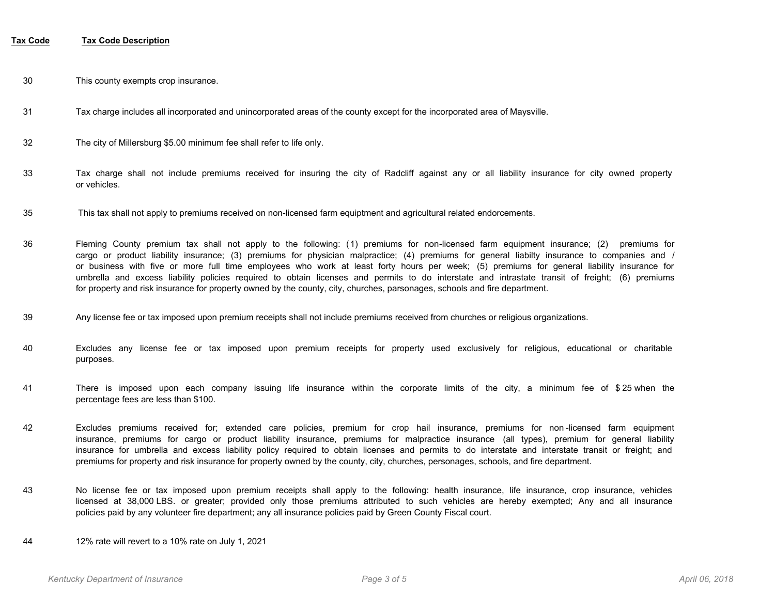- 30 This county exempts crop insurance.
- 31 Tax charge includes all incorporated and unincorporated areas of the county except for the incorporated area of Maysville.
- 32 The city of Millersburg \$5.00 minimum fee shall refer to life only.
- Tax charge shall not include premiums received for insuring the city of Radcliff against any or all liability insurance for city owned property or vehicles. 33
- 35 This tax shall not apply to premiums received on non-licensed farm equiptment and agricultural related endorcements.
- Fleming County premium tax shall not apply to the following: (1) premiums for non-licensed farm equipment insurance; (2) premiums for cargo or product liability insurance; (3) premiums for physician malpractice; (4) premiums for general liabilty insurance to companies and / or business with five or more full time employees who work at least forty hours per week; (5) premiums for general liability insurance for umbrella and excess liability policies required to obtain licenses and permits to do interstate and intrastate transit of freight; (6) premiums for property and risk insurance for property owned by the county, city, churches, parsonages, schools and fire department. 36
- 39 Any license fee or tax imposed upon premium receipts shall not include premiums received from churches or religious organizations.
- Excludes any license fee or tax imposed upon premium receipts for property used exclusively for religious, educational or charitable purposes. 40
- There is imposed upon each company issuing life insurance within the corporate limits of the city, a minimum fee of \$ 25 when the percentage fees are less than \$100. 41
- Excludes premiums received for; extended care policies, premium for crop hail insurance, premiums for non -licensed farm equipment insurance, premiums for cargo or product liability insurance, premiums for malpractice insurance (all types), premium for general liability insurance for umbrella and excess liability policy required to obtain licenses and permits to do interstate and interstate transit or freight; and premiums for property and risk insurance for property owned by the county, city, churches, personages, schools, and fire department. 42
- No license fee or tax imposed upon premium receipts shall apply to the following: health insurance, life insurance, crop insurance, vehicles licensed at 38,000 LBS. or greater; provided only those premiums attributed to such vehicles are hereby exempted; Any and all insurance policies paid by any volunteer fire department; any all insurance policies paid by Green County Fiscal court. 43
- 44 12% rate will revert to a 10% rate on July 1, 2021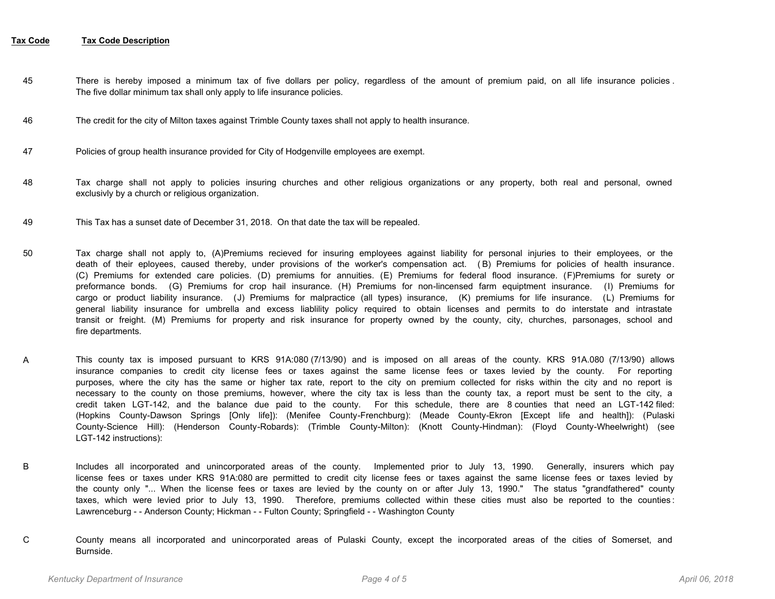- There is hereby imposed a minimum tax of five dollars per policy, regardless of the amount of premium paid, on all life insurance policies . The five dollar minimum tax shall only apply to life insurance policies. 45
- 46 The credit for the city of Milton taxes against Trimble County taxes shall not apply to health insurance.
- 47 Policies of group health insurance provided for City of Hodgenville employees are exempt.
- Tax charge shall not apply to policies insuring churches and other religious organizations or any property, both real and personal, owned exclusivly by a church or religious organization. 48
- 49 This Tax has a sunset date of December 31, 2018. On that date the tax will be repealed.
- Tax charge shall not apply to, (A)Premiums recieved for insuring employees against liability for personal injuries to their employees, or the death of their eployees, caused thereby, under provisions of the worker's compensation act. ( B) Premiums for policies of health insurance. (C) Premiums for extended care policies. (D) premiums for annuities. (E) Premiums for federal flood insurance. (F)Premiums for surety or preformance bonds. (G) Premiums for crop hail insurance. (H) Premiums for non-lincensed farm equiptment insurance. (I) Premiums for cargo or product liability insurance. (J) Premiums for malpractice (all types) insurance, (K) premiums for life insurance. (L) Premiums for general liability insurance for umbrella and excess liablility policy required to obtain licenses and permits to do interstate and intrastate transit or freight. (M) Premiums for property and risk insurance for property owned by the county, city, churches, parsonages, school and fire departments. 50
- This county tax is imposed pursuant to KRS 91A:080 (7/13/90) and is imposed on all areas of the county. KRS 91A.080 (7/13/90) allows insurance companies to credit city license fees or taxes against the same license fees or taxes levied by the county. For reporting purposes, where the city has the same or higher tax rate, report to the city on premium collected for risks within the city and no report is necessary to the county on those premiums, however, where the city tax is less than the county tax, a report must be sent to the city, a credit taken LGT-142, and the balance due paid to the county. For this schedule, there are 8 counties that need an LGT-142 filed: (Hopkins County-Dawson Springs [Only life]): (Menifee County-Frenchburg): (Meade County-Ekron [Except life and health]): (Pulaski County-Science Hill): (Henderson County-Robards): (Trimble County-Milton): (Knott County-Hindman): (Floyd County-Wheelwright) (see LGT-142 instructions): A
- Includes all incorporated and unincorporated areas of the county. Implemented prior to July 13, 1990. Generally, insurers which pay license fees or taxes under KRS 91A:080 are permitted to credit city license fees or taxes against the same license fees or taxes levied by the county only "... When the license fees or taxes are levied by the county on or after July 13, 1990." The status "grandfathered" county taxes, which were levied prior to July 13, 1990. Therefore, premiums collected within these cities must also be reported to the counties : Lawrenceburg - - Anderson County; Hickman - - Fulton County; Springfield - - Washington County B
- County means all incorporated and unincorporated areas of Pulaski County, except the incorporated areas of the cities of Somerset, and Burnside. C